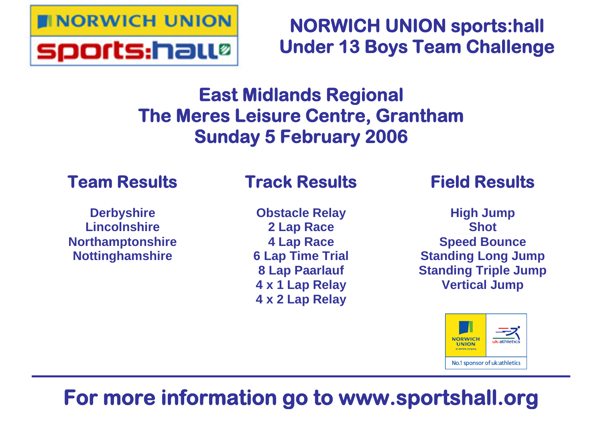

# **NORWICH UNION sports:hall Under 13 Boys Team Challenge**

# **East Midlands Regional The Meres Leisure Centre, Grantham Sunday 5 February 2006**

# **Team Results**

**Derbyshire Lincolnshire Northamptonshire Nottinghamshire**

# **Track Results**

**Obstacle Relay 2 Lap Race 4 Lap Race 6 Lap Time Trial 8 Lap Paarlauf 4 x 1 Lap Relay 4 x 2 Lap Relay**

# **Field Results**

**High Jump Shot Speed Bounce Standing Long Jump Standing Triple Jump Vertical Jump**



# **For more information go to www.sportshall.org**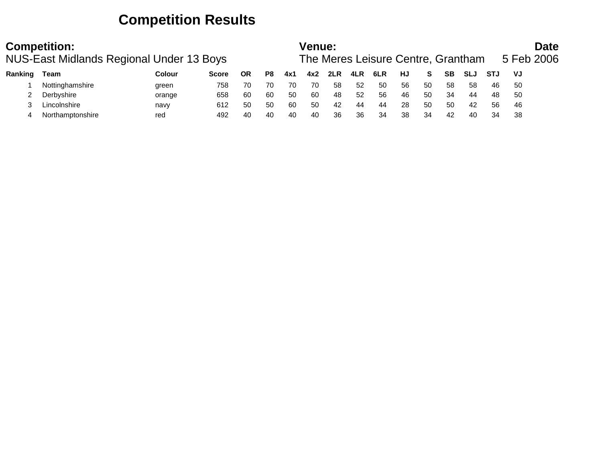### **Competition Results**

|         | <b>Competition:</b> | NUS-East Midlands Regional Under 13 Boys |              |           |    |     | Venue: |     |     | The Meres Leisure Centre, Grantham |    |    |           |            |            | 5 Feb 2006 | <b>Date</b> |
|---------|---------------------|------------------------------------------|--------------|-----------|----|-----|--------|-----|-----|------------------------------------|----|----|-----------|------------|------------|------------|-------------|
| Ranking | Team                | Colour                                   | <b>Score</b> | <b>OR</b> | P8 | 4x1 | 4x2    | 2LR | 4LR | 6LR                                | HJ | S. | <b>SB</b> | <b>SLJ</b> | <b>STJ</b> | VJ         |             |
|         | Nottinghamshire     | green                                    | 758          | 70        | 70 | 70  | 70     | 58  | 52  | 50                                 | 56 | 50 | 58        | 58         | 46         | -50        |             |
|         | Derbyshire          | orange                                   | 658          | 60        | 60 | 50  | 60     | 48  | 52  | 56                                 | 46 | 50 | 34        | 44         | 48         | -50        |             |
|         | Lincolnshire        | navy                                     | 612          | 50        | 50 | 60  | 50     | 42  | 44  | 44                                 | 28 | 50 | 50        | 42         | 56         | 46         |             |
|         | Northamptonshire    | red                                      | 492          | 40        | 40 | 40  | 40     | 36  | 36  | 34                                 | 38 | 34 | 42        | 40         | 34         | -38        |             |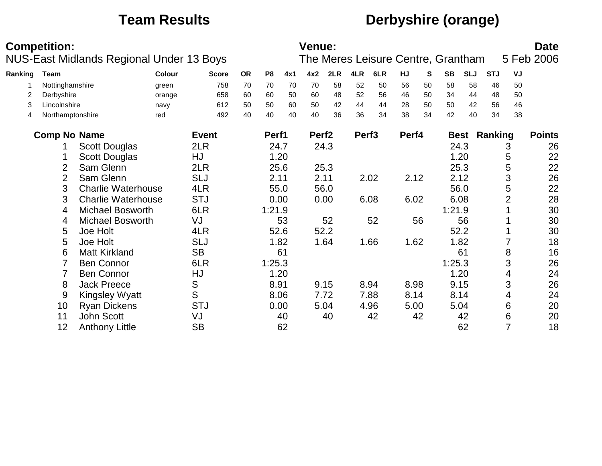# **Team Results Derbyshire (orange)**

|         | <b>Competition:</b> |                           | NUS-East Midlands Regional Under 13 Boys |              |           |                |      | <b>Venue:</b>     |      |                   |      |       |    | The Meres Leisure Centre, Grantham |            |            |                | <b>Date</b><br>5 Feb 2006 |
|---------|---------------------|---------------------------|------------------------------------------|--------------|-----------|----------------|------|-------------------|------|-------------------|------|-------|----|------------------------------------|------------|------------|----------------|---------------------------|
| Ranking | Team                |                           | Colour                                   | <b>Score</b> | <b>OR</b> | P <sub>8</sub> | 4x1  | 4x2               | 2LR  | 4LR               | 6LR  | HJ    | S  | <b>SB</b>                          | <b>SLJ</b> | <b>STJ</b> | VJ             |                           |
|         | Nottinghamshire     |                           | green                                    | 758          | 70        | 70             | 70   | 70                | 58   | 52                | 50   | 56    | 50 | 58                                 | 58         | 46         | 50             |                           |
| 2       | Derbyshire          |                           | orange                                   | 658          | 60        | 60             | 50   | 60                | 48   | 52                | 56   | 46    | 50 | 34                                 | 44         | 48         | 50             |                           |
| 3       | Lincolnshire        |                           | navy                                     | 612          | 50        | 50             | 60   | 50                | 42   | 44                | 44   | 28    | 50 | 50                                 | 42         | 56         | 46             |                           |
| 4       | Northamptonshire    |                           | red                                      | 492          | 40        | 40             | 40   | 40                | 36   | 36                | 34   | 38    | 34 | 42                                 | 40         | 34         | 38             |                           |
|         | <b>Comp No Name</b> |                           |                                          | <b>Event</b> |           | Perf1          |      | Perf <sub>2</sub> |      | Perf <sub>3</sub> |      | Perf4 |    | <b>Best</b>                        |            | Ranking    |                | <b>Points</b>             |
|         |                     | <b>Scott Douglas</b>      |                                          | 2LR          |           |                | 24.7 |                   | 24.3 |                   |      |       |    | 24.3                               |            |            | 3              | 26                        |
|         |                     | <b>Scott Douglas</b>      |                                          | HJ           |           |                | 1.20 |                   |      |                   |      |       |    |                                    | 1.20       |            | 5              | 22                        |
|         | 2                   | Sam Glenn                 |                                          | 2LR          |           |                | 25.6 |                   | 25.3 |                   |      |       |    | 25.3                               |            |            | 5              | 22                        |
|         | $\overline{2}$      | Sam Glenn                 |                                          | <b>SLJ</b>   |           | 2.11           |      | 2.11              |      | 2.02              |      | 2.12  |    | 2.12                               |            |            | 3              | 26                        |
|         | 3                   | <b>Charlie Waterhouse</b> |                                          | 4LR          |           |                | 55.0 |                   | 56.0 |                   |      |       |    | 56.0                               |            |            | 5              | 22                        |
|         | 3                   | <b>Charlie Waterhouse</b> |                                          | <b>STJ</b>   |           |                | 0.00 |                   | 0.00 | 6.08              |      | 6.02  |    | 6.08                               |            |            | $\overline{2}$ | 28                        |
|         | 4                   | <b>Michael Bosworth</b>   |                                          | 6LR          |           | 1:21.9         |      |                   |      |                   |      |       |    | 1:21.9                             |            |            |                | 30                        |
|         | 4                   | <b>Michael Bosworth</b>   |                                          | VJ           |           |                | 53   |                   | 52   |                   | 52   |       | 56 |                                    | 56         |            |                | 30                        |
|         | 5                   | Joe Holt                  |                                          | 4LR          |           |                | 52.6 |                   | 52.2 |                   |      |       |    | 52.2                               |            |            |                | 30                        |
|         | 5                   | Joe Holt                  |                                          | <b>SLJ</b>   |           |                | 1.82 |                   | 1.64 |                   | 1.66 | 1.62  |    | 1.82                               |            |            |                | 18                        |
|         | 6                   | <b>Matt Kirkland</b>      |                                          | <b>SB</b>    |           |                | 61   |                   |      |                   |      |       |    |                                    | 61         |            | 8              | 16                        |
|         |                     | <b>Ben Connor</b>         |                                          | 6LR          |           | 1:25.3         |      |                   |      |                   |      |       |    | 1:25.3                             |            |            | 3              | 26                        |
|         | $\overline{7}$      | <b>Ben Connor</b>         |                                          | HJ           |           |                | 1.20 |                   |      |                   |      |       |    |                                    | 1.20       |            | 4              | 24                        |
|         | 8                   | <b>Jack Preece</b>        |                                          | S            |           | 8.91           |      |                   | 9.15 | 8.94              |      | 8.98  |    | 9.15                               |            |            | 3              | 26                        |
|         | 9                   | Kingsley Wyatt            |                                          | S            |           |                | 8.06 |                   | 7.72 |                   | 7.88 | 8.14  |    | 8.14                               |            |            | 4              | 24                        |
|         | 10                  | <b>Ryan Dickens</b>       |                                          | <b>STJ</b>   |           |                | 0.00 |                   | 5.04 |                   | 4.96 | 5.00  |    | 5.04                               |            |            | 6              | 20                        |
|         | 11                  | John Scott                |                                          | VJ           |           |                | 40   |                   | 40   |                   | 42   |       | 42 |                                    | 42         |            | 6              | 20                        |
|         | 12                  | <b>Anthony Little</b>     |                                          | <b>SB</b>    |           |                | 62   |                   |      |                   |      |       |    |                                    | 62         |            |                | 18                        |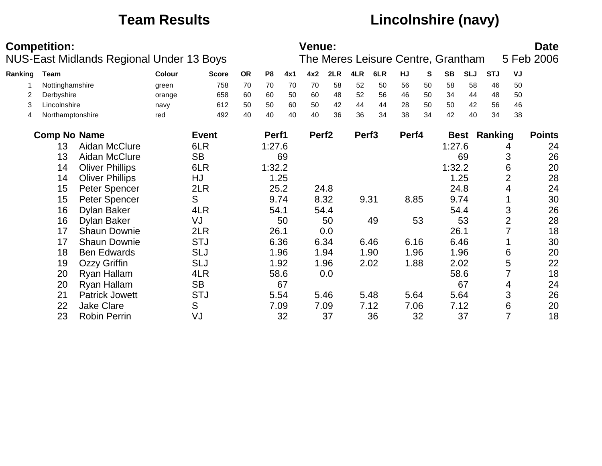# **Team Results Lincolnshire (navy)**

|         | <b>Competition:</b> |                                          |        |              |           |                |      | <b>Venue:</b>     |      |                   |      |       |    |                                    |            |            |                | <b>Date</b>   |
|---------|---------------------|------------------------------------------|--------|--------------|-----------|----------------|------|-------------------|------|-------------------|------|-------|----|------------------------------------|------------|------------|----------------|---------------|
|         |                     | NUS-East Midlands Regional Under 13 Boys |        |              |           |                |      |                   |      |                   |      |       |    | The Meres Leisure Centre, Grantham |            |            |                | 5 Feb 2006    |
| Ranking | Team                |                                          | Colour | <b>Score</b> | <b>OR</b> | P <sub>8</sub> | 4x1  | 4x2               | 2LR  | 4LR               | 6LR  | HJ    | S  | <b>SB</b>                          | <b>SLJ</b> | <b>STJ</b> | VJ             |               |
|         | Nottinghamshire     |                                          | green  | 758          | 70        | 70             | 70   | 70                | 58   | 52                | 50   | 56    | 50 | 58                                 | 58         | 46         | 50             |               |
|         | Derbyshire          |                                          | orange | 658          | 60        | 60             | 50   | 60                | 48   | 52                | 56   | 46    | 50 | 34                                 | 44         | 48         | 50             |               |
| 3       | Lincolnshire        |                                          | navy   | 612          | 50        | 50             | 60   | 50                | 42   | 44                | 44   | 28    | 50 | 50                                 | 42         | 56         | 46             |               |
| 4       | Northamptonshire    |                                          | red    | 492          | 40        | 40             | 40   | 40                | 36   | 36                | 34   | 38    | 34 | 42                                 | 40         | 34         | 38             |               |
|         | <b>Comp No Name</b> |                                          |        | <b>Event</b> |           | Perf1          |      | Perf <sub>2</sub> |      | Perf <sub>3</sub> |      | Perf4 |    | <b>Best</b>                        |            | Ranking    |                | <b>Points</b> |
|         | 13                  | Aidan McClure                            |        | 6LR          |           | 1:27.6         |      |                   |      |                   |      |       |    | 1:27.6                             |            |            | 4              | 24            |
|         | 13                  | Aidan McClure                            |        | <b>SB</b>    |           |                | 69   |                   |      |                   |      |       |    |                                    | 69         |            | 3              | 26            |
|         | 14                  | <b>Oliver Phillips</b>                   |        | 6LR          |           | 1:32.2         |      |                   |      |                   |      |       |    | 1:32.2                             |            |            | 6              | 20            |
|         | 14                  | <b>Oliver Phillips</b>                   |        | HJ           |           |                | 1.25 |                   |      |                   |      |       |    |                                    | 1.25       |            | 2              | 28            |
|         | 15                  | Peter Spencer                            |        | 2LR          |           |                | 25.2 |                   | 24.8 |                   |      |       |    | 24.8                               |            |            | 4              | 24            |
|         | 15                  | <b>Peter Spencer</b>                     |        | S            |           |                | 9.74 | 8.32              |      | 9.31              |      | 8.85  |    | 9.74                               |            |            |                | 30            |
|         | 16                  | Dylan Baker                              |        | 4LR          |           | 54.1           |      |                   | 54.4 |                   |      |       |    | 54.4                               |            |            | 3              | 26            |
|         | 16                  | <b>Dylan Baker</b>                       |        | VJ           |           |                | 50   |                   | 50   |                   | 49   |       | 53 |                                    | 53         |            | $\overline{2}$ | 28            |
|         | 17                  | <b>Shaun Downie</b>                      |        | 2LR          |           | 26.1           |      |                   | 0.0  |                   |      |       |    | 26.1                               |            |            |                | 18            |
|         | 17                  | <b>Shaun Downie</b>                      |        | <b>STJ</b>   |           |                | 6.36 | 6.34              |      |                   | 6.46 | 6.16  |    | 6.46                               |            |            |                | 30            |
|         | 18                  | <b>Ben Edwards</b>                       |        | <b>SLJ</b>   |           |                | 1.96 |                   | 1.94 |                   | 1.90 | 1.96  |    |                                    | 1.96       |            | 6              | 20            |
|         | 19                  | <b>Ozzy Griffin</b>                      |        | <b>SLJ</b>   |           |                | 1.92 |                   | 1.96 |                   | 2.02 | 1.88  |    | 2.02                               |            |            | 5              | 22            |
|         | 20                  | Ryan Hallam                              |        | 4LR          |           |                | 58.6 |                   | 0.0  |                   |      |       |    |                                    | 58.6       |            |                | 18            |
|         | 20                  | Ryan Hallam                              |        | <b>SB</b>    |           |                | 67   |                   |      |                   |      |       |    |                                    | 67         |            | 4              | 24            |
|         | 21                  | <b>Patrick Jowett</b>                    |        | <b>STJ</b>   |           |                | 5.54 |                   | 5.46 |                   | 5.48 | 5.64  |    | 5.64                               |            |            | 3              | 26            |
|         | 22                  | <b>Jake Clare</b>                        |        | S            |           |                | 7.09 |                   | 7.09 |                   | 7.12 | 7.06  |    | 7.12                               |            |            | 6              | 20            |
|         | 23                  | <b>Robin Perrin</b>                      |        | VJ           |           |                | 32   |                   | 37   |                   | 36   |       | 32 |                                    | 37         |            | $\overline{7}$ | 18            |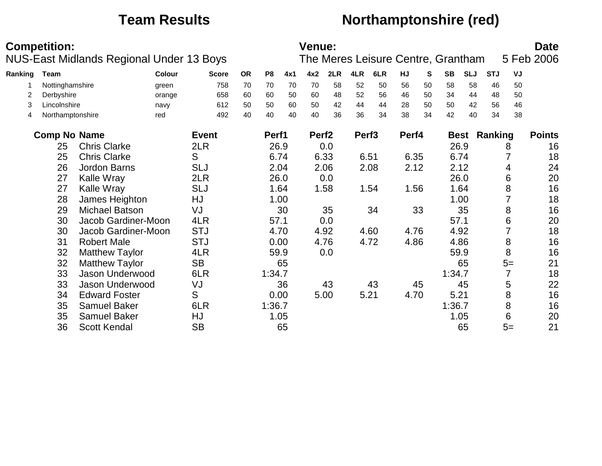# **Team Results Northamptonshire (red)**

|         | <b>Competition:</b> |                       | NUS-East Midlands Regional Under 13 Boys |              |           |        |      | <b>Venue:</b>     |      |                   |      |       |    | The Meres Leisure Centre, Grantham |             |            |                | <b>Date</b><br>5 Feb 2006 |
|---------|---------------------|-----------------------|------------------------------------------|--------------|-----------|--------|------|-------------------|------|-------------------|------|-------|----|------------------------------------|-------------|------------|----------------|---------------------------|
| Ranking | Team                |                       | Colour                                   | <b>Score</b> | <b>OR</b> | P8     | 4x1  | 4x2               | 2LR  | 4LR               | 6LR  | HJ    | S  | <b>SB</b>                          | <b>SLJ</b>  | <b>STJ</b> | VJ             |                           |
|         | Nottinghamshire     |                       | green                                    | 758          | 70        | 70     | 70   | 70                | 58   | 52                | 50   | 56    | 50 | 58                                 | 58          | 46         | 50             |                           |
| 2       | Derbyshire          |                       | orange                                   | 658          | 60        | 60     | 50   | 60                | 48   | 52                | 56   | 46    | 50 | 34                                 | 44          | 48         | 50             |                           |
| 3       | Lincolnshire        |                       | navy                                     | 612          | 50        | 50     | 60   | 50                | 42   | 44                | 44   | 28    | 50 | 50                                 | 42          | 56         | 46             |                           |
| 4       | Northamptonshire    |                       | red                                      | 492          | 40        | 40     | 40   | 40                | 36   | 36                | 34   | 38    | 34 | 42                                 | 40          | 34         | 38             |                           |
|         | <b>Comp No Name</b> |                       |                                          | <b>Event</b> |           | Perf1  |      | Perf <sub>2</sub> |      | Perf <sub>3</sub> |      | Perf4 |    |                                    | <b>Best</b> | Ranking    |                | <b>Points</b>             |
|         | 25                  | <b>Chris Clarke</b>   |                                          | 2LR          |           | 26.9   |      |                   | 0.0  |                   |      |       |    |                                    | 26.9        |            | 8              | 16                        |
|         | 25                  | <b>Chris Clarke</b>   |                                          | S            |           |        | 6.74 |                   | 6.33 | 6.51              |      | 6.35  |    |                                    | 6.74        |            |                | 18                        |
|         | 26                  | <b>Jordon Barns</b>   |                                          | <b>SLJ</b>   |           |        | 2.04 |                   | 2.06 |                   | 2.08 | 2.12  |    |                                    | 2.12        |            | 4              | 24                        |
|         | 27                  | Kalle Wray            |                                          | 2LR          |           |        | 26.0 |                   | 0.0  |                   |      |       |    |                                    | 26.0        |            | 6              | 20                        |
|         | 27                  | Kalle Wray            |                                          | <b>SLJ</b>   |           |        | 1.64 |                   | 1.58 |                   | 1.54 | 1.56  |    |                                    | 1.64        |            | 8              | 16                        |
|         | 28                  | James Heighton        |                                          | HJ           |           |        | 1.00 |                   |      |                   |      |       |    |                                    | 1.00        |            |                | 18                        |
|         | 29                  | <b>Michael Batson</b> |                                          | VJ           |           |        | 30   |                   | 35   |                   | 34   |       | 33 |                                    | 35          |            | 8              | 16                        |
|         | 30                  | Jacob Gardiner-Moon   |                                          | 4LR          |           | 57.1   |      |                   | 0.0  |                   |      |       |    | 57.1                               |             |            | 6              | 20                        |
|         | 30                  | Jacob Gardiner-Moon   |                                          | <b>STJ</b>   |           | 4.70   |      |                   | 4.92 |                   | 4.60 | 4.76  |    |                                    | 4.92        |            |                | 18                        |
|         | 31                  | <b>Robert Male</b>    |                                          | <b>STJ</b>   |           |        | 0.00 |                   | 4.76 |                   | 4.72 | 4.86  |    |                                    | 4.86        |            | 8              | 16                        |
|         | 32                  | <b>Matthew Taylor</b> |                                          | 4LR          |           |        | 59.9 |                   | 0.0  |                   |      |       |    |                                    | 59.9        |            | 8              | 16                        |
|         | 32                  | <b>Matthew Taylor</b> |                                          | <b>SB</b>    |           |        | 65   |                   |      |                   |      |       |    |                                    | 65          |            | $5=$           | 21                        |
|         | 33                  | Jason Underwood       |                                          | 6LR          |           | 1:34.7 |      |                   |      |                   |      |       |    | 1:34.7                             |             |            | $\overline{7}$ | 18                        |
|         | 33                  | Jason Underwood       |                                          | VJ           |           |        | 36   |                   | 43   |                   | 43   |       | 45 |                                    | 45          |            | 5              | 22                        |
|         | 34                  | <b>Edward Foster</b>  |                                          | S            |           |        | 0.00 |                   | 5.00 | 5.21              |      | 4.70  |    | 5.21                               |             |            | 8              | 16                        |
|         | 35                  | <b>Samuel Baker</b>   |                                          | 6LR          |           | 1:36.7 |      |                   |      |                   |      |       |    | 1:36.7                             |             |            | 8              | 16                        |
|         | 35                  | <b>Samuel Baker</b>   |                                          | HJ           |           |        | 1.05 |                   |      |                   |      |       |    |                                    | 1.05        |            | 6              | 20                        |
|         | 36                  | <b>Scott Kendal</b>   |                                          | <b>SB</b>    |           |        | 65   |                   |      |                   |      |       |    |                                    | 65          |            | $5=$           | 21                        |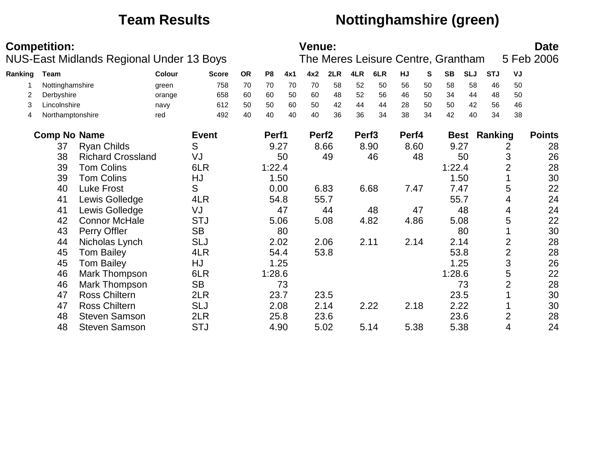# **Team Results Nottinghamshire (green)**

|         | <b>Competition:</b> | NUS-East Midlands Regional Under 13 Boys |                 |              |           |                |      | <b>Venue:</b>     |      |                   |      |       |    | The Meres Leisure Centre, Grantham |             |            |                | <b>Date</b><br>5 Feb 2006 |
|---------|---------------------|------------------------------------------|-----------------|--------------|-----------|----------------|------|-------------------|------|-------------------|------|-------|----|------------------------------------|-------------|------------|----------------|---------------------------|
| Ranking | Team                |                                          | Colour          | <b>Score</b> | <b>OR</b> | P <sub>8</sub> | 4x1  | 4x2               | 2LR  | 4LR               | 6LR  | HJ    | S  | <b>SB</b>                          | <b>SLJ</b>  | <b>STJ</b> | VJ             |                           |
|         | Nottinghamshire     |                                          |                 | 758          | 70        | 70             | 70   | 70                | 58   | 52                | 50   | 56    | 50 | 58                                 | 58          | 46         | 50             |                           |
| 2       | Derbyshire          |                                          | green<br>orange | 658          | 60        | 60             | 50   | 60                | 48   | 52                | 56   | 46    | 50 | 34                                 | 44          | 48         | 50             |                           |
| 3       | Lincolnshire        |                                          | navy            | 612          | 50        | 50             | 60   | 50                | 42   | 44                | 44   | 28    | 50 | 50                                 | 42          | 56         | 46             |                           |
| 4       | Northamptonshire    |                                          | red             | 492          | 40        | 40             | 40   | 40                | 36   | 36                | 34   | 38    | 34 | 42                                 | 40          | 34         | 38             |                           |
|         | <b>Comp No Name</b> |                                          |                 | <b>Event</b> |           | Perf1          |      | Perf <sub>2</sub> |      | Perf <sub>3</sub> |      | Perf4 |    |                                    | <b>Best</b> | Ranking    |                | <b>Points</b>             |
|         | 37                  | <b>Ryan Childs</b>                       |                 | S            |           | 9.27           |      | 8.66              |      |                   | 8.90 | 8.60  |    | 9.27                               |             |            | 2              | 28                        |
|         | 38                  | <b>Richard Crossland</b>                 |                 | VJ           |           |                | 50   |                   | 49   |                   | 46   |       | 48 |                                    | 50          |            | 3              | 26                        |
|         | 39                  | <b>Tom Colins</b>                        |                 | 6LR          |           | 1:22.4         |      |                   |      |                   |      |       |    | 1:22.4                             |             |            | $\overline{2}$ | 28                        |
|         | 39                  | <b>Tom Colins</b>                        |                 | HJ           |           |                | 1.50 |                   |      |                   |      |       |    |                                    | 1.50        |            |                | 30                        |
|         | 40                  | <b>Luke Frost</b>                        |                 | S            |           | 0.00           |      | 6.83              |      |                   | 6.68 | 7.47  |    |                                    | 7.47        |            | 5              | 22                        |
|         | 41                  | Lewis Golledge                           |                 | 4LR          |           | 54.8           |      | 55.7              |      |                   |      |       |    | 55.7                               |             |            | 4              | 24                        |
|         | 41                  | Lewis Golledge                           |                 | VJ           |           |                | 47   |                   | 44   |                   | 48   |       | 47 |                                    | 48          |            | 4              | 24                        |
|         | 42                  | <b>Connor McHale</b>                     |                 | <b>STJ</b>   |           |                | 5.06 |                   | 5.08 |                   | 4.82 | 4.86  |    |                                    | 5.08        |            | 5              | 22                        |
|         | 43                  | Perry Offler                             |                 | <b>SB</b>    |           |                | 80   |                   |      |                   |      |       |    |                                    | 80          |            |                | 30                        |
|         | 44                  | Nicholas Lynch                           |                 | <b>SLJ</b>   |           | 2.02           |      |                   | 2.06 |                   | 2.11 | 2.14  |    |                                    | 2.14        |            | 2              | 28                        |
|         | 45                  | <b>Tom Bailey</b>                        |                 | 4LR          |           | 54.4           |      |                   | 53.8 |                   |      |       |    |                                    | 53.8        |            | $\overline{2}$ | 28                        |
|         | 45                  | <b>Tom Bailey</b>                        |                 | HJ           |           |                | 1.25 |                   |      |                   |      |       |    |                                    | 1.25        |            | 3              | 26                        |
|         | 46                  | Mark Thompson                            |                 | 6LR          |           | 1:28.6         |      |                   |      |                   |      |       |    | 1:28.6                             |             |            | 5              | 22                        |
|         | 46                  | Mark Thompson                            |                 | <b>SB</b>    |           |                | 73   |                   |      |                   |      |       |    |                                    | 73          |            | $\overline{2}$ | 28                        |
|         | 47                  | <b>Ross Chiltern</b>                     |                 | 2LR          |           | 23.7           |      | 23.5              |      |                   |      |       |    | 23.5                               |             |            |                | 30                        |
|         | 47                  | <b>Ross Chiltern</b>                     |                 | <b>SLJ</b>   |           | 2.08           |      |                   | 2.14 |                   | 2.22 | 2.18  |    |                                    | 2.22        |            |                | 30                        |
|         | 48                  | <b>Steven Samson</b>                     |                 | 2LR          |           |                | 25.8 |                   | 23.6 |                   |      |       |    |                                    | 23.6        |            | $\overline{2}$ | 28                        |
|         | 48                  | <b>Steven Samson</b>                     |                 | <b>STJ</b>   |           | 4.90           |      |                   | 5.02 |                   | 5.14 | 5.38  |    | 5.38                               |             |            | 4              | 24                        |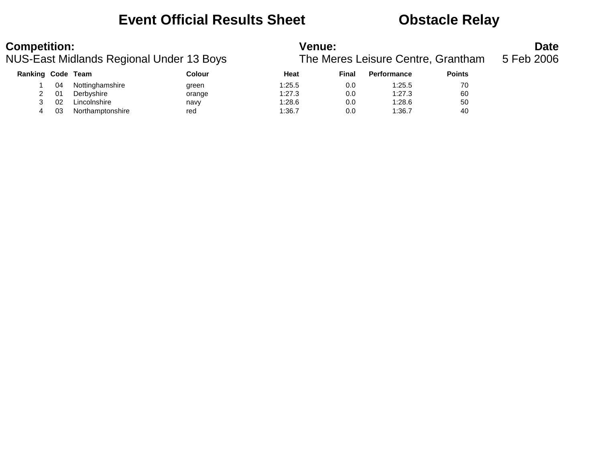# **Event Official Results Sheet Obstacle Relay**

| <b>Competition:</b>      |    |                  | NUS-East Midlands Regional Under 13 Boys | Venue: |       | The Meres Leisure Centre, Grantham |               | <b>Date</b><br>5 Feb 2006 |
|--------------------------|----|------------------|------------------------------------------|--------|-------|------------------------------------|---------------|---------------------------|
| <b>Ranking Code Team</b> |    |                  | Colour                                   | Heat   | Final | <b>Performance</b>                 | <b>Points</b> |                           |
|                          | 04 | Nottinghamshire  | green                                    | 1:25.5 | 0.0   | 1:25.5                             | 70            |                           |
|                          | 01 | Derbyshire       | orange                                   | 1:27.3 | 0.0   | 1:27.3                             | 60            |                           |
|                          | 02 | Lincolnshire     | navy                                     | 1:28.6 | 0.0   | 1:28.6                             | 50            |                           |
| 4                        | 03 | Northamptonshire | red                                      | 1:36.7 | 0.0   | 1:36.7                             | 40            |                           |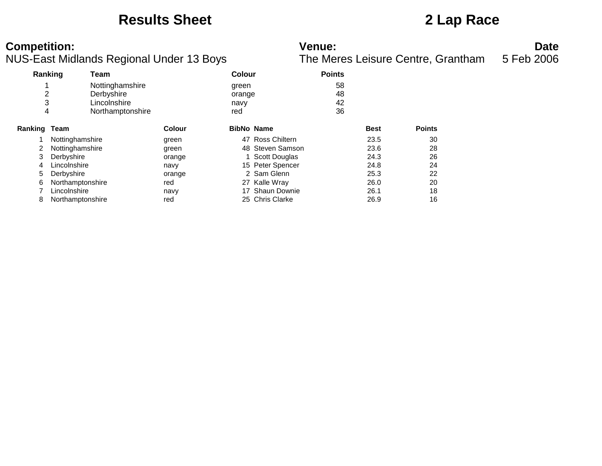### **Results Sheet 2 Lap Race**

NUS-East Midlands Regional Under 13 Boys

| Ranking             |                  | Team             |               | Colour            |                  | <b>Points</b> |             |               |
|---------------------|------------------|------------------|---------------|-------------------|------------------|---------------|-------------|---------------|
|                     |                  | Nottinghamshire  |               | green             |                  | 58            |             |               |
| 2                   |                  | Derbyshire       |               | orange            |                  | 48            |             |               |
| 3                   |                  | Lincolnshire     |               | navy              |                  | 42            |             |               |
| 4                   |                  | Northamptonshire |               | red               |                  | 36            |             |               |
| <b>Ranking Team</b> |                  |                  | <b>Colour</b> | <b>BibNo Name</b> |                  |               | <b>Best</b> | <b>Points</b> |
|                     | Nottinghamshire  |                  | green         |                   | 47 Ross Chiltern |               | 23.5        | 30            |
| 2                   | Nottinghamshire  |                  | green         |                   | 48 Steven Samson |               | 23.6        | 28            |
| 3                   | Derbyshire       |                  | orange        |                   | 1 Scott Douglas  |               | 24.3        | 26            |
| 4                   | Lincolnshire     |                  | navy          |                   | 15 Peter Spencer |               | 24.8        | 24            |
| 5                   | Derbyshire       |                  | orange        |                   | 2 Sam Glenn      |               | 25.3        | 22            |
| 6                   | Northamptonshire |                  | red           |                   | 27 Kalle Wray    |               | 26.0        | 20            |
|                     | Lincolnshire     |                  | navy          |                   | 17 Shaun Downie  |               | 26.1        | 18            |
| 8                   | Northamptonshire |                  | red           |                   | 25 Chris Clarke  |               | 26.9        | 16            |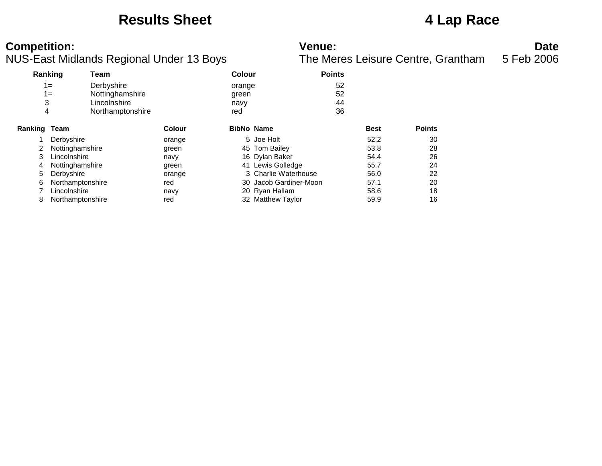### **Results Sheet 4 Lap Race**

NUS-East Midlands Regional Under 13 Boys

|                     | Ranking          | Team             |               | Colour            |                        | <b>Points</b> |             |               |
|---------------------|------------------|------------------|---------------|-------------------|------------------------|---------------|-------------|---------------|
|                     | $1 =$            | Derbyshire       |               | orange            |                        | 52            |             |               |
|                     | 1=               | Nottinghamshire  |               | green             |                        | 52            |             |               |
| 3                   |                  | Lincolnshire     |               | navy              |                        | 44            |             |               |
| 4                   |                  | Northamptonshire |               | red               |                        | 36            |             |               |
| <b>Ranking Team</b> |                  |                  | <b>Colour</b> | <b>BibNo Name</b> |                        |               | <b>Best</b> | <b>Points</b> |
|                     | Derbyshire       |                  | orange        |                   | 5 Joe Holt             |               | 52.2        | 30            |
| 2                   | Nottinghamshire  |                  | green         |                   | 45 Tom Bailey          |               | 53.8        | 28            |
| 3                   | Lincolnshire     |                  | navy          |                   | 16 Dylan Baker         |               | 54.4        | 26            |
| 4                   | Nottinghamshire  |                  | green         |                   | 41 Lewis Golledge      |               | 55.7        | 24            |
| 5                   | Derbyshire       |                  | orange        |                   | 3 Charlie Waterhouse   |               | 56.0        | 22            |
| 6                   | Northamptonshire |                  | red           |                   | 30 Jacob Gardiner-Moon |               | 57.1        | 20            |
|                     | Lincolnshire     |                  | navy          |                   | 20 Ryan Hallam         |               | 58.6        | 18            |
| 8                   | Northamptonshire |                  | red           |                   | 32 Matthew Taylor      |               | 59.9        | 16            |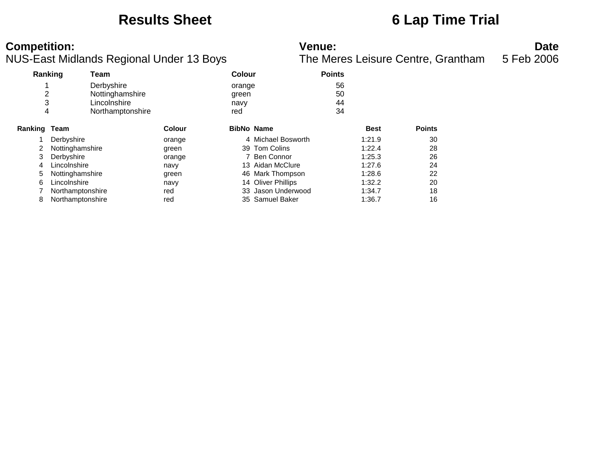### **Results Sheet 6 Lap Time Trial**

**Competition:**<br>**Date**<br>The Meres Leisure Centre, Grantham 5 Feb 2006<br>The Meres Leisure Centre, Grantham 5 Feb 2006 NUS-East Midlands Regional Under 13 Boys The Meres Leisure Centre, Grantham 5 Feb 2006

|                | Ranking          | Team             |               | Colour            |                    | <b>Points</b> |             |               |
|----------------|------------------|------------------|---------------|-------------------|--------------------|---------------|-------------|---------------|
|                |                  | Derbyshire       |               | orange            |                    | 56            |             |               |
| $\overline{2}$ |                  | Nottinghamshire  |               | green             |                    | 50            |             |               |
| 3              |                  | Lincolnshire     |               | navy              |                    | 44            |             |               |
| 4              |                  | Northamptonshire |               | red               |                    | 34            |             |               |
| Ranking Team   |                  |                  | <b>Colour</b> | <b>BibNo Name</b> |                    |               | <b>Best</b> | <b>Points</b> |
|                | Derbyshire       |                  | orange        |                   | 4 Michael Bosworth |               | 1:21.9      | 30            |
| 2              | Nottinghamshire  |                  | green         |                   | 39 Tom Colins      |               | 1:22.4      | 28            |
| 3              | Derbyshire       |                  | orange        |                   | 7 Ben Connor       |               | 1:25.3      | 26            |
| 4              | Lincolnshire     |                  | navy          |                   | 13 Aidan McClure   |               | 1:27.6      | 24            |
| 5              | Nottinghamshire  |                  | green         |                   | 46 Mark Thompson   |               | 1:28.6      | 22            |
| 6              | Lincolnshire     |                  | navy          |                   | 14 Oliver Phillips |               | 1:32.2      | 20            |
|                | Northamptonshire |                  | red           |                   | 33 Jason Underwood |               | 1:34.7      | 18            |
| 8              | Northamptonshire |                  | red           |                   | 35 Samuel Baker    |               | 1:36.7      | 16            |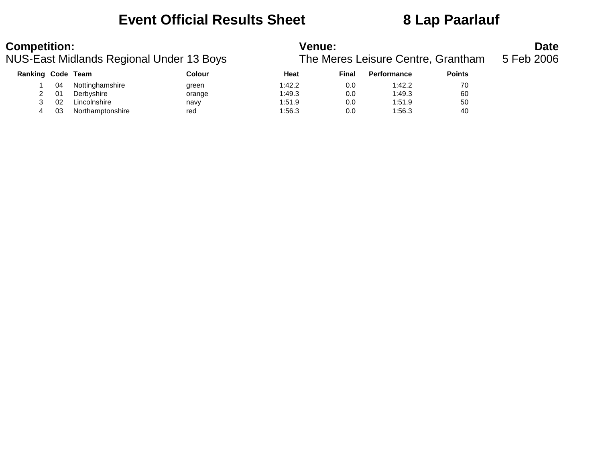### **Event Official Results Sheet 8 Lap Paarlauf**

| <b>Competition:</b> |    |                  | NUS-East Midlands Regional Under 13 Boys | <b>Venue:</b> |       | The Meres Leisure Centre, Grantham |               | <b>Date</b><br>5 Feb 2006 |
|---------------------|----|------------------|------------------------------------------|---------------|-------|------------------------------------|---------------|---------------------------|
| Ranking Code Team   |    |                  | Colour                                   | Heat          | Final | <b>Performance</b>                 | <b>Points</b> |                           |
|                     | 04 | Nottinghamshire  | green                                    | 1:42.2        | 0.0   | 1:42.2                             | 70            |                           |
|                     | 01 | Derbyshire       | orange                                   | 1:49.3        | 0.0   | 1:49.3                             | 60            |                           |
|                     | 02 | Lincolnshire     | navy                                     | 1:51.9        | 0.0   | 1:51.9                             | 50            |                           |
| 4                   | 03 | Northamptonshire | red                                      | 1:56.3        | 0.0   | 1:56.3                             | 40            |                           |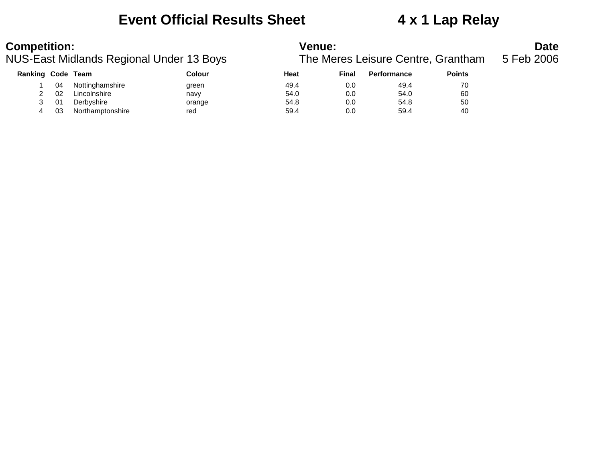### **Event Official Results Sheet 4 x 1 Lap Relay**

| <b>Competition:</b>      |    | NUS-East Midlands Regional Under 13 Boys |        | <b>Venue:</b> |       | The Meres Leisure Centre, Grantham |               | <b>Date</b><br>5 Feb 2006 |
|--------------------------|----|------------------------------------------|--------|---------------|-------|------------------------------------|---------------|---------------------------|
| <b>Ranking Code Team</b> |    |                                          | Colour | Heat          | Final | <b>Performance</b>                 | <b>Points</b> |                           |
|                          | 04 | Nottinghamshire                          | green  | 49.4          | 0.0   | 49.4                               | 70            |                           |
|                          | 02 | Lincolnshire                             | navy   | 54.0          | 0.0   | 54.0                               | 60            |                           |
| 3                        | 01 | Derbyshire                               | orange | 54.8          | 0.0   | 54.8                               | 50            |                           |
| 4                        | 03 | Northamptonshire                         | red    | 59.4          | 0.0   | 59.4                               | 40            |                           |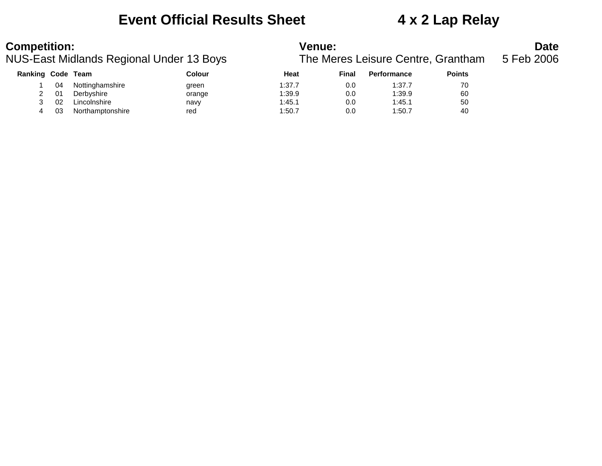### **Event Official Results Sheet 4 x 2 Lap Relay**

| <b>Competition:</b> |     | NUS-East Midlands Regional Under 13 Boys |        | <b>Venue:</b> |       | The Meres Leisure Centre, Grantham |               | <b>Date</b><br>5 Feb 2006 |
|---------------------|-----|------------------------------------------|--------|---------------|-------|------------------------------------|---------------|---------------------------|
| Ranking Code Team   |     |                                          | Colour | Heat          | Final | <b>Performance</b>                 | <b>Points</b> |                           |
|                     | 04  | Nottinghamshire                          | green  | 1:37.7        | 0.0   | 1:37.7                             | 70            |                           |
|                     | -01 | Derbyshire                               | orange | 1:39.9        | 0.0   | 1:39.9                             | 60            |                           |
|                     | 02  | Lincolnshire                             | navy   | 1:45.1        | 0.0   | 1:45.1                             | 50            |                           |
| 4                   | 03  | Northamptonshire                         | red    | 1:50.7        | 0.0   | 1:50.7                             | 40            |                           |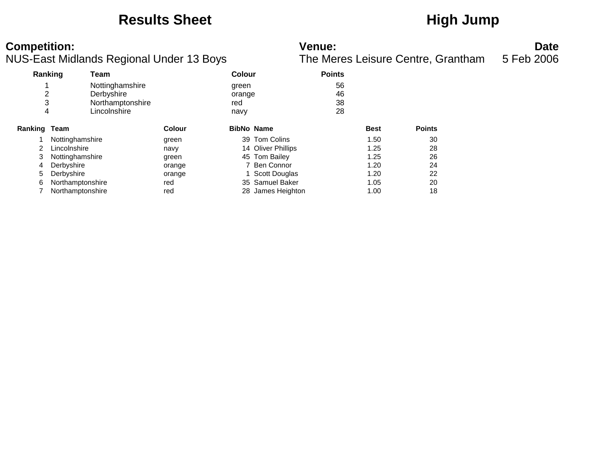### Results Sheet **High Jump**

### **Competition: Venue: Date**

|                                          | --------                                      | ----- |
|------------------------------------------|-----------------------------------------------|-------|
| NUS-East Midlands Regional Under 13 Boys | The Meres Leisure Centre, Grantham 5 Feb 2006 |       |

|              | Ranking          | Team             |               | Colour            |                      | <b>Points</b> |             |               |
|--------------|------------------|------------------|---------------|-------------------|----------------------|---------------|-------------|---------------|
| 4            |                  | Nottinghamshire  |               | green             |                      | 56            |             |               |
| 2            |                  | Derbyshire       |               | orange            |                      | 46            |             |               |
| 3            |                  | Northamptonshire |               | red               |                      | 38            |             |               |
| 4            |                  | Lincolnshire     |               | navy              |                      | 28            |             |               |
| Ranking Team |                  |                  | <b>Colour</b> | <b>BibNo Name</b> |                      |               | <b>Best</b> | <b>Points</b> |
|              | Nottinghamshire  |                  | green         |                   | 39 Tom Colins        |               | 1.50        | 30            |
| 2            | Lincolnshire     |                  | navy          |                   | 14 Oliver Phillips   |               | 1.25        | 28            |
| 3            | Nottinghamshire  |                  | green         |                   | 45 Tom Bailey        |               | 1.25        | 26            |
| 4            | Derbyshire       |                  | orange        |                   | 7 Ben Connor         |               | 1.20        | 24            |
| 5            | Derbyshire       |                  | orange        |                   | <b>Scott Douglas</b> |               | 1.20        | 22            |
| 6            | Northamptonshire |                  | red           |                   | 35 Samuel Baker      |               | 1.05        | 20            |
|              | Northamptonshire |                  | red           |                   | 28 James Heighton    |               | 1.00        | 18            |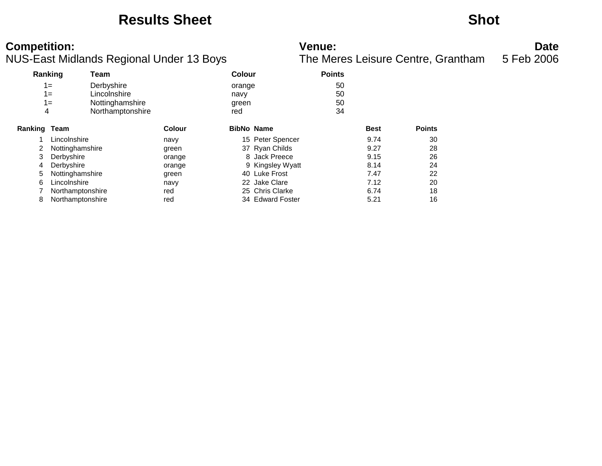### **Results Sheet Shot**

| <b>Competition:</b>                      | Venue:                                        | <b>Date</b> |
|------------------------------------------|-----------------------------------------------|-------------|
| NUS-East Midlands Regional Under 13 Boys | The Meres Leisure Centre, Grantham 5 Feb 2006 |             |

|              | Ranking          | Team             |               | <b>Colour</b> |                   | <b>Points</b> |             |               |
|--------------|------------------|------------------|---------------|---------------|-------------------|---------------|-------------|---------------|
|              | $1 =$            | Derbyshire       |               | orange        |                   | 50            |             |               |
|              | $1 =$            | Lincolnshire     |               | navy          |                   | 50            |             |               |
|              | $1 =$            | Nottinghamshire  |               | green         |                   | 50            |             |               |
| 4            |                  | Northamptonshire |               | red           |                   | 34            |             |               |
| Ranking Team |                  |                  | <b>Colour</b> |               | <b>BibNo Name</b> |               | <b>Best</b> | <b>Points</b> |
|              | Lincolnshire     |                  | navy          |               | 15 Peter Spencer  |               | 9.74        | 30            |
|              | Nottinghamshire  |                  | green         |               | 37 Ryan Childs    |               | 9.27        | 28            |
| 3            | Derbyshire       |                  | orange        |               | 8 Jack Preece     |               | 9.15        | 26            |
| 4            | Derbyshire       |                  | orange        |               | 9 Kingsley Wyatt  |               | 8.14        | 24            |
| 5            | Nottinghamshire  |                  | green         |               | 40 Luke Frost     |               | 7.47        | 22            |
| 6            | Lincolnshire     |                  | navy          |               | 22 Jake Clare     |               | 7.12        | 20            |
|              | Northamptonshire |                  | red           |               | 25 Chris Clarke   |               | 6.74        | 18            |
| 8            | Northamptonshire |                  | red           |               | 34 Edward Foster  |               | 5.21        | 16            |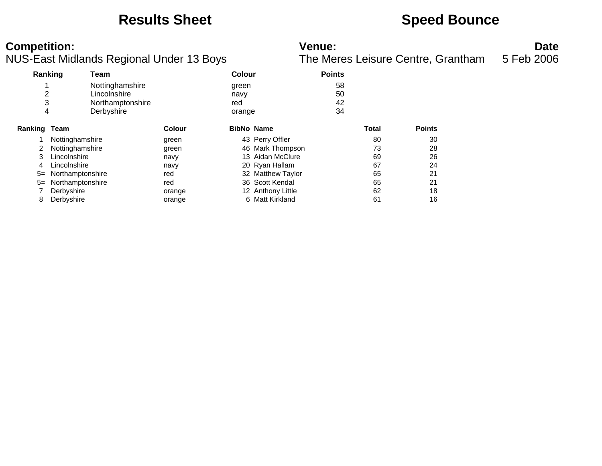### **Results Sheet <b>Speed Bounce Speed Bounce**

NUS-East Midlands Regional Under 13 Boys

|                     | Ranking          | Team             |               | Colour            |                   | <b>Points</b> |       |               |
|---------------------|------------------|------------------|---------------|-------------------|-------------------|---------------|-------|---------------|
|                     |                  | Nottinghamshire  |               | green             |                   | 58            |       |               |
| 2                   |                  | Lincolnshire     |               | navy              |                   | 50            |       |               |
| 3                   |                  | Northamptonshire |               | red               |                   | 42            |       |               |
| 4                   |                  | Derbyshire       |               | orange            |                   | 34            |       |               |
| <b>Ranking Team</b> |                  |                  | <b>Colour</b> | <b>BibNo Name</b> |                   |               | Total | <b>Points</b> |
|                     | Nottinghamshire  |                  | green         |                   | 43 Perry Offler   |               | 80    | 30            |
| 2                   | Nottinghamshire  |                  | green         |                   | 46 Mark Thompson  |               | 73    | 28            |
| 3                   | Lincolnshire     |                  | navy          |                   | 13 Aidan McClure  |               | 69    | 26            |
| 4                   | Lincolnshire     |                  | navy          |                   | 20 Ryan Hallam    |               | 67    | 24            |
| $5=$                | Northamptonshire |                  | red           |                   | 32 Matthew Taylor |               | 65    | 21            |
| $5=$                | Northamptonshire |                  | red           |                   | 36 Scott Kendal   |               | 65    | 21            |
|                     | Derbyshire       |                  | orange        |                   | 12 Anthony Little |               | 62    | 18            |
| 8                   | Derbyshire       |                  | orange        |                   | 6 Matt Kirkland   |               | 61    | 16            |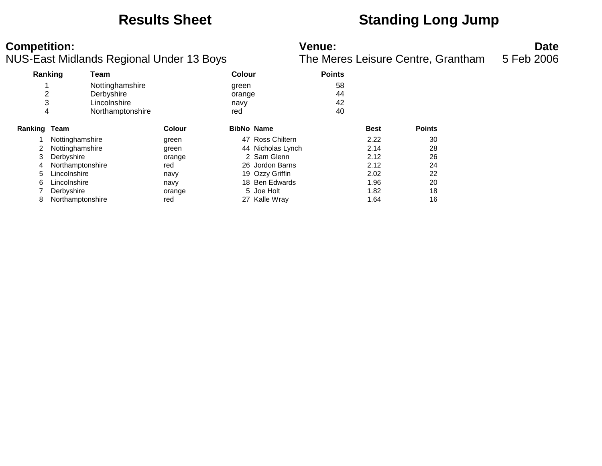### **Results Sheet Standing Long Jump**

| <b>Competition:</b>                      | <b>Venue:</b>                      | <b>Date</b> |
|------------------------------------------|------------------------------------|-------------|
| NUS-East Midlands Regional Under 13 Boys | The Meres Leisure Centre, Grantham | 5 Feb 2006  |

|              | Ranking          | Team             |        | Colour            |                   | <b>Points</b> |             |               |
|--------------|------------------|------------------|--------|-------------------|-------------------|---------------|-------------|---------------|
|              |                  | Nottinghamshire  |        | green             |                   | 58            |             |               |
| 2            |                  | Derbyshire       |        | orange            |                   | 44            |             |               |
| 3            |                  | Lincolnshire     |        | navy              |                   | 42            |             |               |
| 4            |                  | Northamptonshire |        | red               |                   | 40            |             |               |
| Ranking Team |                  |                  | Colour | <b>BibNo Name</b> |                   |               | <b>Best</b> | <b>Points</b> |
|              | Nottinghamshire  |                  | green  |                   | 47 Ross Chiltern  |               | 2.22        | 30            |
|              | Nottinghamshire  |                  | green  |                   | 44 Nicholas Lynch |               | 2.14        | 28            |
| 3            | Derbyshire       |                  | orange |                   | 2 Sam Glenn       |               | 2.12        | 26            |
| 4            | Northamptonshire |                  | red    |                   | 26 Jordon Barns   |               | 2.12        | 24            |
| 5            | Lincolnshire     |                  | navy   |                   | 19 Ozzy Griffin   |               | 2.02        | 22            |
| 6            | Lincolnshire     |                  | navy   |                   | 18 Ben Edwards    |               | 1.96        | 20            |
|              | Derbyshire       |                  | orange |                   | 5 Joe Holt        |               | 1.82        | 18            |
| 8            | Northamptonshire |                  | red    |                   | 27 Kalle Wray     |               | 1.64        | 16            |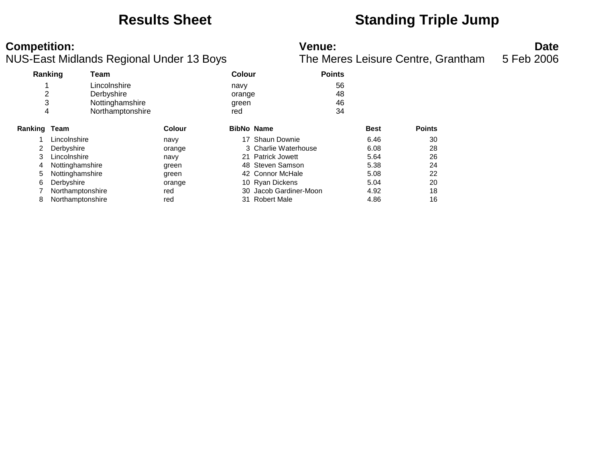### **Results Sheet Standing Triple Jump**

NUS-East Midlands Regional Under 13 Boys

|                     | Ranking          | Team             |               | Colour |                        | <b>Points</b> |             |               |
|---------------------|------------------|------------------|---------------|--------|------------------------|---------------|-------------|---------------|
|                     |                  | Lincolnshire     |               | navy   |                        | 56            |             |               |
| 2                   |                  | Derbyshire       |               | orange |                        | 48            |             |               |
| 3                   |                  | Nottinghamshire  |               | green  |                        | 46            |             |               |
| 4                   |                  | Northamptonshire |               | red    |                        | 34            |             |               |
| <b>Ranking Team</b> |                  |                  | <b>Colour</b> |        | <b>BibNo Name</b>      |               | <b>Best</b> | <b>Points</b> |
|                     | Lincolnshire     |                  | navy          |        | 17 Shaun Downie        |               | 6.46        | 30            |
| 2                   | Derbyshire       |                  | orange        |        | 3 Charlie Waterhouse   |               | 6.08        | 28            |
| 3                   | Lincolnshire     |                  | navy          |        | 21 Patrick Jowett      |               | 5.64        | 26            |
| 4                   | Nottinghamshire  |                  | green         |        | 48 Steven Samson       |               | 5.38        | 24            |
| 5                   | Nottinghamshire  |                  | green         |        | 42 Connor McHale       |               | 5.08        | 22            |
| 6                   | Derbyshire       |                  | orange        |        | 10 Ryan Dickens        |               | 5.04        | 20            |
|                     | Northamptonshire |                  | red           |        | 30 Jacob Gardiner-Moon |               | 4.92        | 18            |
| 8                   | Northamptonshire |                  | red           |        | 31 Robert Male         |               | 4.86        | 16            |